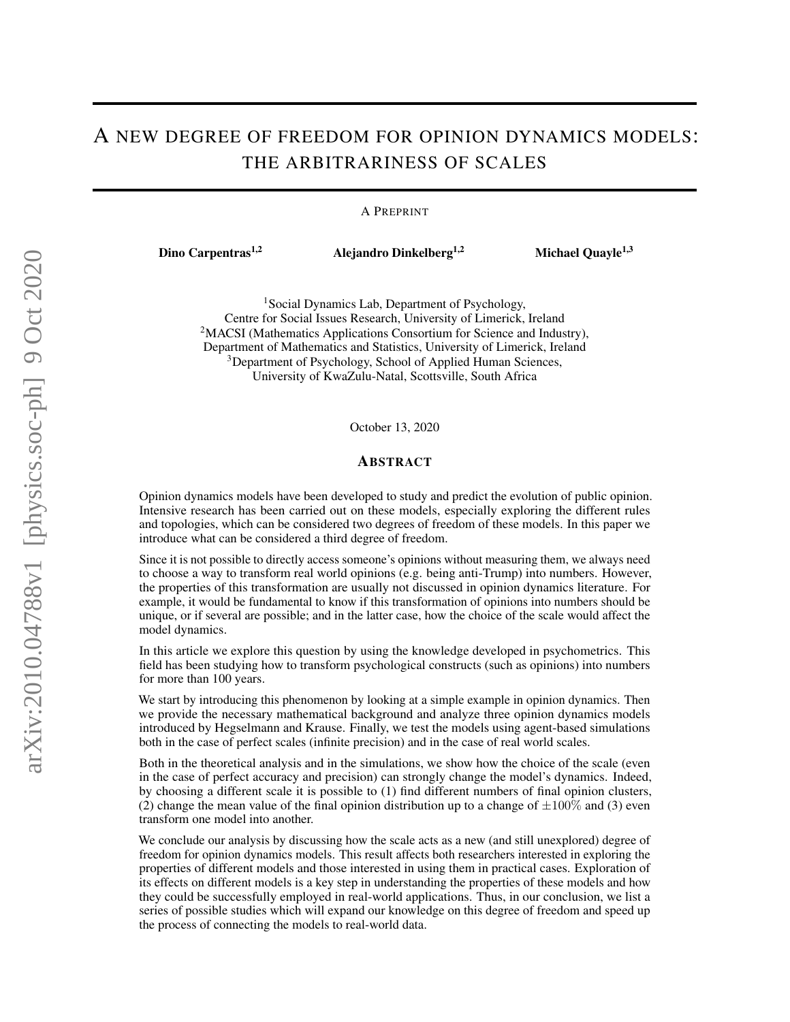## A NEW DEGREE OF FREEDOM FOR OPINION DYNAMICS MODELS: THE ARBITRARINESS OF SCALES

#### A PREPRINT

Dino Carpentras<sup>1,2</sup> Alejandro Dinkelberg<sup>1,2</sup> Michael Quayle<sup>1,3</sup>

<sup>1</sup>Social Dynamics Lab, Department of Psychology, Centre for Social Issues Research, University of Limerick, Ireland <sup>2</sup>MACSI (Mathematics Applications Consortium for Science and Industry), Department of Mathematics and Statistics, University of Limerick, Ireland <sup>3</sup>Department of Psychology, School of Applied Human Sciences, University of KwaZulu-Natal, Scottsville, South Africa

October 13, 2020

#### ABSTRACT

Opinion dynamics models have been developed to study and predict the evolution of public opinion. Intensive research has been carried out on these models, especially exploring the different rules and topologies, which can be considered two degrees of freedom of these models. In this paper we introduce what can be considered a third degree of freedom.

Since it is not possible to directly access someone's opinions without measuring them, we always need to choose a way to transform real world opinions (e.g. being anti-Trump) into numbers. However, the properties of this transformation are usually not discussed in opinion dynamics literature. For example, it would be fundamental to know if this transformation of opinions into numbers should be unique, or if several are possible; and in the latter case, how the choice of the scale would affect the model dynamics.

In this article we explore this question by using the knowledge developed in psychometrics. This field has been studying how to transform psychological constructs (such as opinions) into numbers for more than 100 years.

We start by introducing this phenomenon by looking at a simple example in opinion dynamics. Then we provide the necessary mathematical background and analyze three opinion dynamics models introduced by Hegselmann and Krause. Finally, we test the models using agent-based simulations both in the case of perfect scales (infinite precision) and in the case of real world scales.

Both in the theoretical analysis and in the simulations, we show how the choice of the scale (even in the case of perfect accuracy and precision) can strongly change the model's dynamics. Indeed, by choosing a different scale it is possible to (1) find different numbers of final opinion clusters, (2) change the mean value of the final opinion distribution up to a change of  $\pm 100\%$  and (3) even transform one model into another.

We conclude our analysis by discussing how the scale acts as a new (and still unexplored) degree of freedom for opinion dynamics models. This result affects both researchers interested in exploring the properties of different models and those interested in using them in practical cases. Exploration of its effects on different models is a key step in understanding the properties of these models and how they could be successfully employed in real-world applications. Thus, in our conclusion, we list a series of possible studies which will expand our knowledge on this degree of freedom and speed up the process of connecting the models to real-world data.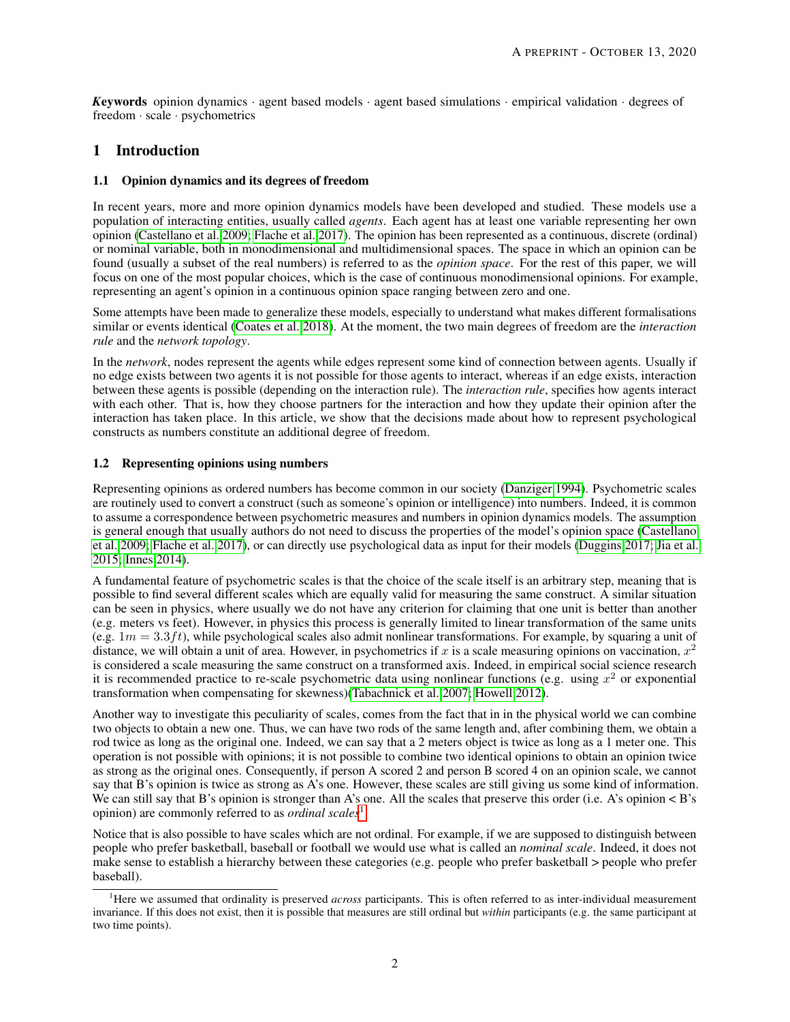*K*eywords opinion dynamics · agent based models · agent based simulations · empirical validation · degrees of freedom · scale · psychometrics

## 1 Introduction

#### 1.1 Opinion dynamics and its degrees of freedom

In recent years, more and more opinion dynamics models have been developed and studied. These models use a population of interacting entities, usually called *agents*. Each agent has at least one variable representing her own opinion [\(Castellano et al. 2009;](#page-15-0) [Flache et al. 2017\)](#page-15-1). The opinion has been represented as a continuous, discrete (ordinal) or nominal variable, both in monodimensional and multidimensional spaces. The space in which an opinion can be found (usually a subset of the real numbers) is referred to as the *opinion space*. For the rest of this paper, we will focus on one of the most popular choices, which is the case of continuous monodimensional opinions. For example, representing an agent's opinion in a continuous opinion space ranging between zero and one.

Some attempts have been made to generalize these models, especially to understand what makes different formalisations similar or events identical [\(Coates et al. 2018\)](#page-15-2). At the moment, the two main degrees of freedom are the *interaction rule* and the *network topology*.

In the *network*, nodes represent the agents while edges represent some kind of connection between agents. Usually if no edge exists between two agents it is not possible for those agents to interact, whereas if an edge exists, interaction between these agents is possible (depending on the interaction rule). The *interaction rule*, specifies how agents interact with each other. That is, how they choose partners for the interaction and how they update their opinion after the interaction has taken place. In this article, we show that the decisions made about how to represent psychological constructs as numbers constitute an additional degree of freedom.

## 1.2 Representing opinions using numbers

Representing opinions as ordered numbers has become common in our society [\(Danziger 1994\)](#page-15-3). Psychometric scales are routinely used to convert a construct (such as someone's opinion or intelligence) into numbers. Indeed, it is common to assume a correspondence between psychometric measures and numbers in opinion dynamics models. The assumption is general enough that usually authors do not need to discuss the properties of the model's opinion space [\(Castellano](#page-15-0) [et al. 2009;](#page-15-0) [Flache et al. 2017\)](#page-15-1), or can directly use psychological data as input for their models [\(Duggins 2017;](#page-15-4) [Jia et al.](#page-16-0) [2015;](#page-16-0) [Innes 2014\)](#page-16-1).

A fundamental feature of psychometric scales is that the choice of the scale itself is an arbitrary step, meaning that is possible to find several different scales which are equally valid for measuring the same construct. A similar situation can be seen in physics, where usually we do not have any criterion for claiming that one unit is better than another (e.g. meters vs feet). However, in physics this process is generally limited to linear transformation of the same units (e.g.  $1m = 3.3 ft$ ), while psychological scales also admit nonlinear transformations. For example, by squaring a unit of distance, we will obtain a unit of area. However, in psychometrics if x is a scale measuring opinions on vaccination,  $x^2$ is considered a scale measuring the same construct on a transformed axis. Indeed, in empirical social science research it is recommended practice to re-scale psychometric data using nonlinear functions (e.g. using  $x^2$  or exponential transformation when compensating for skewness)[\(Tabachnick et al. 2007;](#page-16-2) [Howell 2012\)](#page-16-3).

Another way to investigate this peculiarity of scales, comes from the fact that in in the physical world we can combine two objects to obtain a new one. Thus, we can have two rods of the same length and, after combining them, we obtain a rod twice as long as the original one. Indeed, we can say that a 2 meters object is twice as long as a 1 meter one. This operation is not possible with opinions; it is not possible to combine two identical opinions to obtain an opinion twice as strong as the original ones. Consequently, if person A scored 2 and person B scored 4 on an opinion scale, we cannot say that B's opinion is twice as strong as A's one. However, these scales are still giving us some kind of information. We can still say that B's opinion is stronger than A's one. All the scales that preserve this order (i.e. A's opinion < B's opinion) are commonly referred to as *ordinal scales*[1](#page-1-0) .

Notice that is also possible to have scales which are not ordinal. For example, if we are supposed to distinguish between people who prefer basketball, baseball or football we would use what is called an *nominal scale*. Indeed, it does not make sense to establish a hierarchy between these categories (e.g. people who prefer basketball > people who prefer baseball).

<span id="page-1-0"></span><sup>&</sup>lt;sup>1</sup>Here we assumed that ordinality is preserved *across* participants. This is often referred to as inter-individual measurement invariance. If this does not exist, then it is possible that measures are still ordinal but *within* participants (e.g. the same participant at two time points).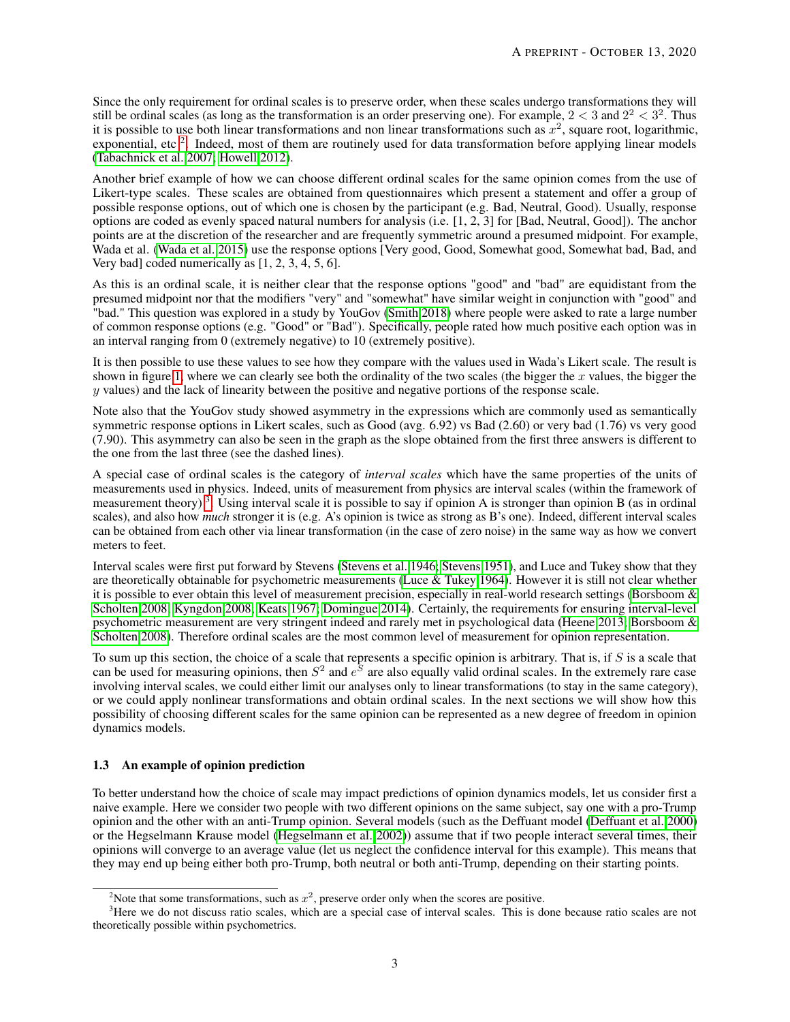Since the only requirement for ordinal scales is to preserve order, when these scales undergo transformations they will still be ordinal scales (as long as the transformation is an order preserving one). For example,  $2 < 3$  and  $2^2 < 3^2$ . Thus it is possible to use both linear transformations and non linear transformations such as  $x^2$ , square root, logarithmic, exponential, etc<sup>[2](#page-2-0)</sup>. Indeed, most of them are routinely used for data transformation before applying linear models [\(Tabachnick et al. 2007;](#page-16-2) [Howell 2012\)](#page-16-3).

Another brief example of how we can choose different ordinal scales for the same opinion comes from the use of Likert-type scales. These scales are obtained from questionnaires which present a statement and offer a group of possible response options, out of which one is chosen by the participant (e.g. Bad, Neutral, Good). Usually, response options are coded as evenly spaced natural numbers for analysis (i.e. [1, 2, 3] for [Bad, Neutral, Good]). The anchor points are at the discretion of the researcher and are frequently symmetric around a presumed midpoint. For example, Wada et al. [\(Wada et al. 2015\)](#page-16-4) use the response options [Very good, Good, Somewhat good, Somewhat bad, Bad, and Very bad] coded numerically as [1, 2, 3, 4, 5, 6].

As this is an ordinal scale, it is neither clear that the response options "good" and "bad" are equidistant from the presumed midpoint nor that the modifiers "very" and "somewhat" have similar weight in conjunction with "good" and "bad." This question was explored in a study by YouGov [\(Smith 2018\)](#page-16-5) where people were asked to rate a large number of common response options (e.g. "Good" or "Bad"). Specifically, people rated how much positive each option was in an interval ranging from 0 (extremely negative) to 10 (extremely positive).

It is then possible to use these values to see how they compare with the values used in Wada's Likert scale. The result is shown in figure [1,](#page-3-0) where we can clearly see both the ordinality of the two scales (the bigger the  $x$  values, the bigger the y values) and the lack of linearity between the positive and negative portions of the response scale.

Note also that the YouGov study showed asymmetry in the expressions which are commonly used as semantically symmetric response options in Likert scales, such as Good (avg. 6.92) vs Bad (2.60) or very bad (1.76) vs very good (7.90). This asymmetry can also be seen in the graph as the slope obtained from the first three answers is different to the one from the last three (see the dashed lines).

A special case of ordinal scales is the category of *interval scales* which have the same properties of the units of measurements used in physics. Indeed, units of measurement from physics are interval scales (within the framework of measurement theory)<sup>[3](#page-2-1)</sup>. Using interval scale it is possible to say if opinion A is stronger than opinion B (as in ordinal scales), and also how *much* stronger it is (e.g. A's opinion is twice as strong as B's one). Indeed, different interval scales can be obtained from each other via linear transformation (in the case of zero noise) in the same way as how we convert meters to feet.

Interval scales were first put forward by Stevens [\(Stevens et al. 1946;](#page-16-6) [Stevens 1951\)](#page-16-7), and Luce and Tukey show that they are theoretically obtainable for psychometric measurements [\(Luce & Tukey 1964\)](#page-16-8). However it is still not clear whether it is possible to ever obtain this level of measurement precision, especially in real-world research settings [\(Borsboom &](#page-15-5) [Scholten 2008;](#page-15-5) [Kyngdon 2008;](#page-16-9) [Keats 1967;](#page-16-10) [Domingue 2014\)](#page-15-6). Certainly, the requirements for ensuring interval-level psychometric measurement are very stringent indeed and rarely met in psychological data [\(Heene 2013;](#page-15-7) [Borsboom &](#page-15-5) [Scholten 2008\)](#page-15-5). Therefore ordinal scales are the most common level of measurement for opinion representation.

To sum up this section, the choice of a scale that represents a specific opinion is arbitrary. That is, if  $S$  is a scale that can be used for measuring opinions, then  $S^2$  and  $e^{\overline{S}}$  are also equally valid ordinal scales. In the extremely rare case involving interval scales, we could either limit our analyses only to linear transformations (to stay in the same category), or we could apply nonlinear transformations and obtain ordinal scales. In the next sections we will show how this possibility of choosing different scales for the same opinion can be represented as a new degree of freedom in opinion dynamics models.

## 1.3 An example of opinion prediction

To better understand how the choice of scale may impact predictions of opinion dynamics models, let us consider first a naive example. Here we consider two people with two different opinions on the same subject, say one with a pro-Trump opinion and the other with an anti-Trump opinion. Several models (such as the Deffuant model [\(Deffuant et al. 2000\)](#page-15-8) or the Hegselmann Krause model [\(Hegselmann et al. 2002\)](#page-16-11)) assume that if two people interact several times, their opinions will converge to an average value (let us neglect the confidence interval for this example). This means that they may end up being either both pro-Trump, both neutral or both anti-Trump, depending on their starting points.

<span id="page-2-1"></span><span id="page-2-0"></span><sup>&</sup>lt;sup>2</sup>Note that some transformations, such as  $x^2$ , preserve order only when the scores are positive.

<sup>&</sup>lt;sup>3</sup>Here we do not discuss ratio scales, which are a special case of interval scales. This is done because ratio scales are not theoretically possible within psychometrics.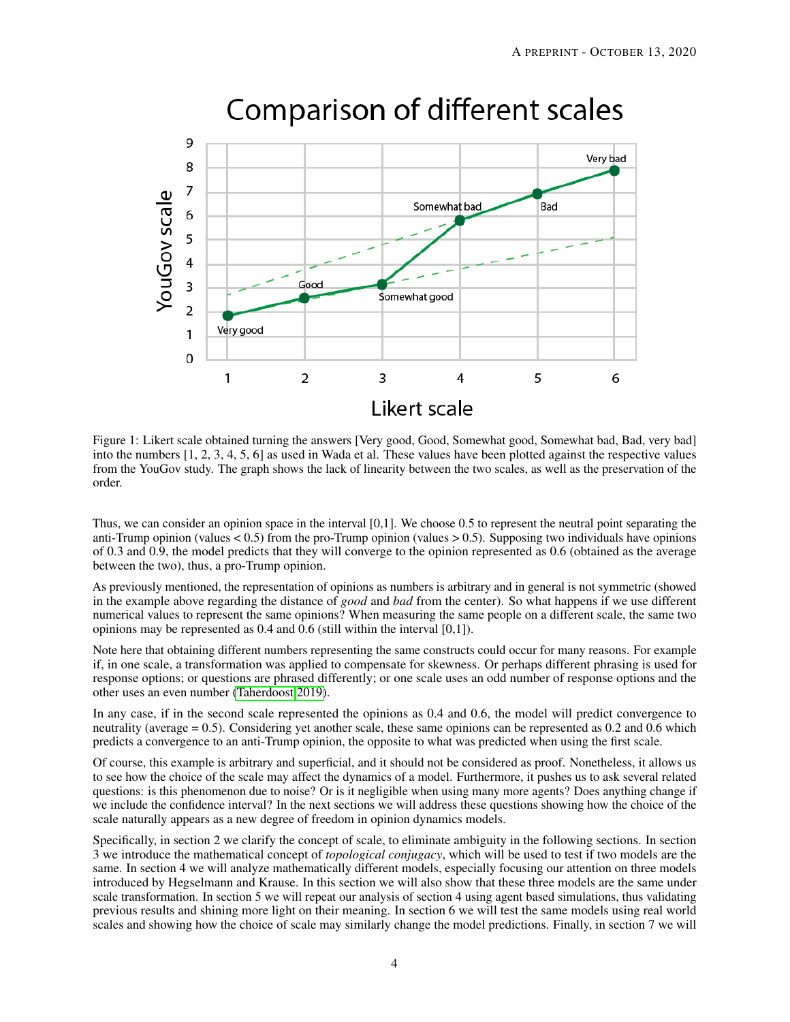

# Comparison of different scales

<span id="page-3-0"></span>Figure 1: Likert scale obtained turning the answers [Very good, Good, Somewhat good, Somewhat bad, Bad, very bad] into the numbers [1, 2, 3, 4, 5, 6] as used in Wada et al. These values have been plotted against the respective values from the YouGov study. The graph shows the lack of linearity between the two scales, as well as the preservation of the order.

Thus, we can consider an opinion space in the interval [0,1]. We choose 0.5 to represent the neutral point separating the anti-Trump opinion (values  $\lt 0.5$ ) from the pro-Trump opinion (values  $> 0.5$ ). Supposing two individuals have opinions of 0.3 and 0.9, the model predicts that they will converge to the opinion represented as 0.6 (obtained as the average between the two), thus, a pro-Trump opinion.

As previously mentioned, the representation of opinions as numbers is arbitrary and in general is not symmetric (showed in the example above regarding the distance of *good* and *bad* from the center). So what happens if we use different numerical values to represent the same opinions? When measuring the same people on a different scale, the same two opinions may be represented as 0.4 and 0.6 (still within the interval [0,1]).

Note here that obtaining different numbers representing the same constructs could occur for many reasons. For example if, in one scale, a transformation was applied to compensate for skewness. Or perhaps different phrasing is used for response options; or questions are phrased differently; or one scale uses an odd number of response options and the other uses an even number [\(Taherdoost 2019\)](#page-16-12).

In any case, if in the second scale represented the opinions as 0.4 and 0.6, the model will predict convergence to neutrality (average = 0.5). Considering yet another scale, these same opinions can be represented as 0.2 and 0.6 which predicts a convergence to an anti-Trump opinion, the opposite to what was predicted when using the first scale.

Of course, this example is arbitrary and superficial, and it should not be considered as proof. Nonetheless, it allows us to see how the choice of the scale may affect the dynamics of a model. Furthermore, it pushes us to ask several related questions: is this phenomenon due to noise? Or is it negligible when using many more agents? Does anything change if we include the confidence interval? In the next sections we will address these questions showing how the choice of the scale naturally appears as a new degree of freedom in opinion dynamics models.

Specifically, in section 2 we clarify the concept of scale, to eliminate ambiguity in the following sections. In section 3 we introduce the mathematical concept of *topological conjugacy*, which will be used to test if two models are the same. In section 4 we will analyze mathematically different models, especially focusing our attention on three models introduced by Hegselmann and Krause. In this section we will also show that these three models are the same under scale transformation. In section 5 we will repeat our analysis of section 4 using agent based simulations, thus validating previous results and shining more light on their meaning. In section 6 we will test the same models using real world scales and showing how the choice of scale may similarly change the model predictions. Finally, in section 7 we will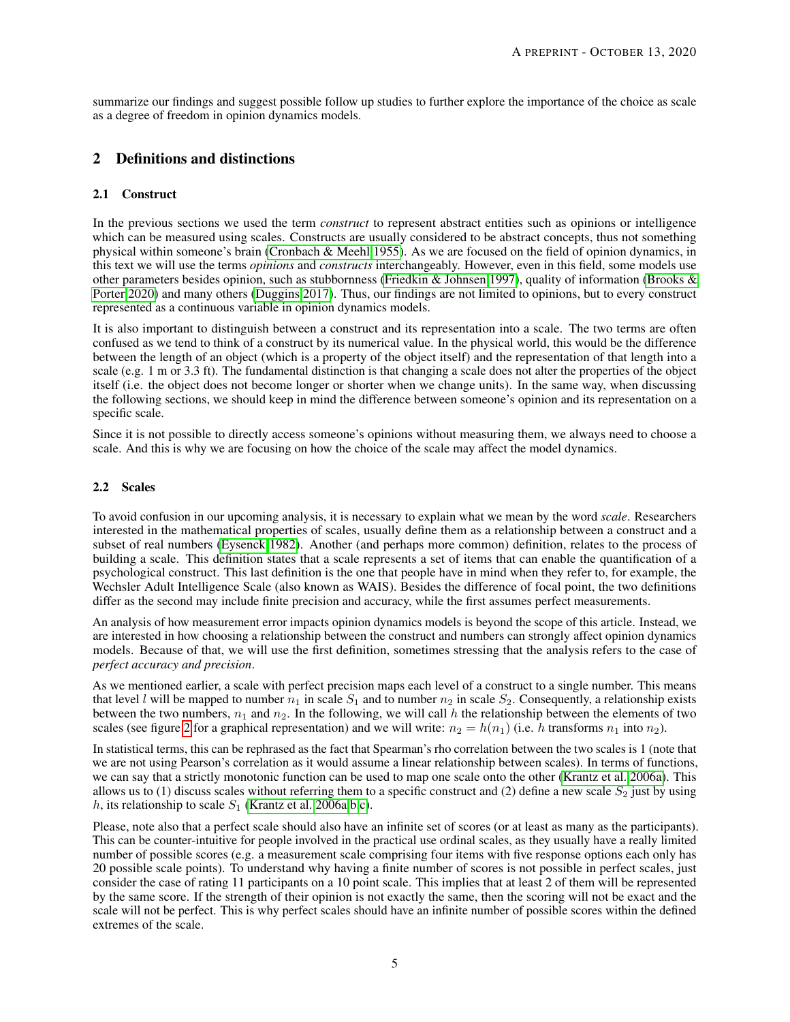summarize our findings and suggest possible follow up studies to further explore the importance of the choice as scale as a degree of freedom in opinion dynamics models.

## 2 Definitions and distinctions

## 2.1 Construct

In the previous sections we used the term *construct* to represent abstract entities such as opinions or intelligence which can be measured using scales. Constructs are usually considered to be abstract concepts, thus not something physical within someone's brain [\(Cronbach & Meehl 1955\)](#page-15-9). As we are focused on the field of opinion dynamics, in this text we will use the terms *opinions* and *constructs* interchangeably. However, even in this field, some models use other parameters besides opinion, such as stubbornness [\(Friedkin & Johnsen 1997\)](#page-15-10), quality of information [\(Brooks &](#page-15-11) [Porter 2020\)](#page-15-11) and many others [\(Duggins 2017\)](#page-15-4). Thus, our findings are not limited to opinions, but to every construct represented as a continuous variable in opinion dynamics models.

It is also important to distinguish between a construct and its representation into a scale. The two terms are often confused as we tend to think of a construct by its numerical value. In the physical world, this would be the difference between the length of an object (which is a property of the object itself) and the representation of that length into a scale (e.g. 1 m or 3.3 ft). The fundamental distinction is that changing a scale does not alter the properties of the object itself (i.e. the object does not become longer or shorter when we change units). In the same way, when discussing the following sections, we should keep in mind the difference between someone's opinion and its representation on a specific scale.

Since it is not possible to directly access someone's opinions without measuring them, we always need to choose a scale. And this is why we are focusing on how the choice of the scale may affect the model dynamics.

#### 2.2 Scales

To avoid confusion in our upcoming analysis, it is necessary to explain what we mean by the word *scale*. Researchers interested in the mathematical properties of scales, usually define them as a relationship between a construct and a subset of real numbers [\(Eysenck 1982\)](#page-15-12). Another (and perhaps more common) definition, relates to the process of building a scale. This definition states that a scale represents a set of items that can enable the quantification of a psychological construct. This last definition is the one that people have in mind when they refer to, for example, the Wechsler Adult Intelligence Scale (also known as WAIS). Besides the difference of focal point, the two definitions differ as the second may include finite precision and accuracy, while the first assumes perfect measurements.

An analysis of how measurement error impacts opinion dynamics models is beyond the scope of this article. Instead, we are interested in how choosing a relationship between the construct and numbers can strongly affect opinion dynamics models. Because of that, we will use the first definition, sometimes stressing that the analysis refers to the case of *perfect accuracy and precision*.

As we mentioned earlier, a scale with perfect precision maps each level of a construct to a single number. This means that level l will be mapped to number  $n_1$  in scale  $S_1$  and to number  $n_2$  in scale  $S_2$ . Consequently, a relationship exists between the two numbers,  $n_1$  and  $n_2$ . In the following, we will call h the relationship between the elements of two scales (see figure [2](#page-5-0) for a graphical representation) and we will write:  $n_2 = h(n_1)$  (i.e. h transforms  $n_1$  into  $n_2$ ).

In statistical terms, this can be rephrased as the fact that Spearman's rho correlation between the two scales is 1 (note that we are not using Pearson's correlation as it would assume a linear relationship between scales). In terms of functions, we can say that a strictly monotonic function can be used to map one scale onto the other [\(Krantz et al. 2006a\)](#page-16-13). This allows us to (1) discuss scales without referring them to a specific construct and (2) define a new scale  $S_2$  just by using h, its relationship to scale  $S_1$  [\(Krantz et al. 2006a](#page-16-13)[,b](#page-16-14)[,c\)](#page-16-15).

Please, note also that a perfect scale should also have an infinite set of scores (or at least as many as the participants). This can be counter-intuitive for people involved in the practical use ordinal scales, as they usually have a really limited number of possible scores (e.g. a measurement scale comprising four items with five response options each only has 20 possible scale points). To understand why having a finite number of scores is not possible in perfect scales, just consider the case of rating 11 participants on a 10 point scale. This implies that at least 2 of them will be represented by the same score. If the strength of their opinion is not exactly the same, then the scoring will not be exact and the scale will not be perfect. This is why perfect scales should have an infinite number of possible scores within the defined extremes of the scale.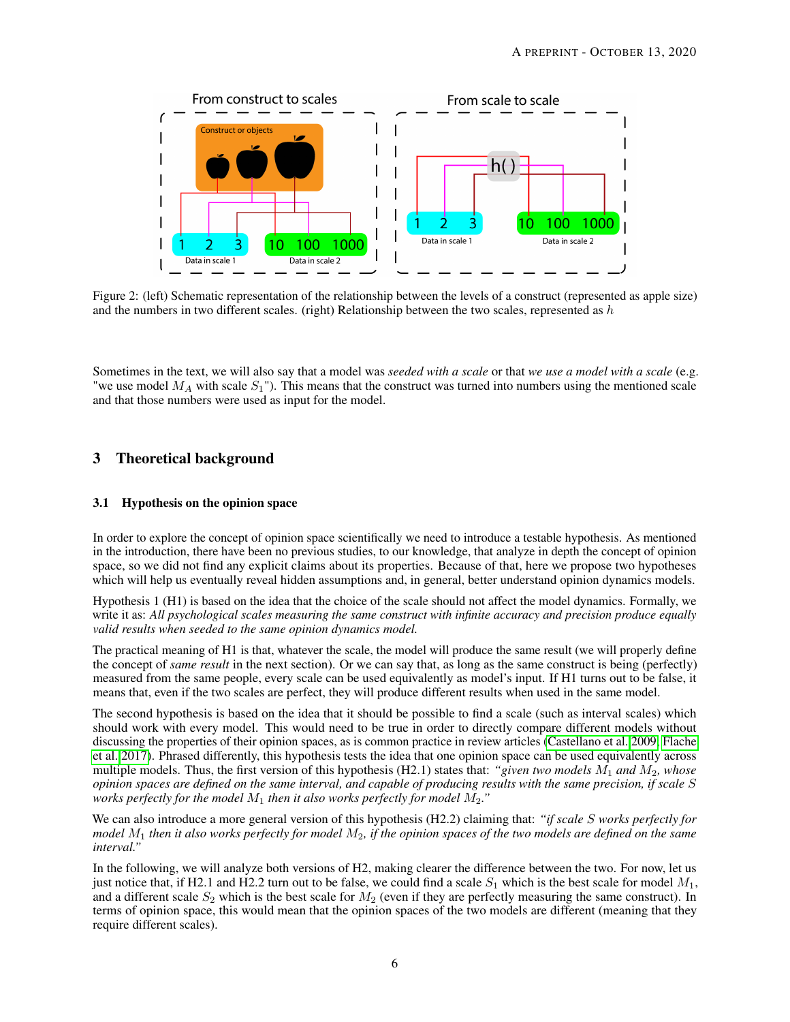

<span id="page-5-0"></span>Figure 2: (left) Schematic representation of the relationship between the levels of a construct (represented as apple size) and the numbers in two different scales. (right) Relationship between the two scales, represented as  $h$ 

Sometimes in the text, we will also say that a model was *seeded with a scale* or that *we use a model with a scale* (e.g. "we use model  $M_A$  with scale  $S_1$ "). This means that the construct was turned into numbers using the mentioned scale and that those numbers were used as input for the model.

## 3 Theoretical background

## 3.1 Hypothesis on the opinion space

In order to explore the concept of opinion space scientifically we need to introduce a testable hypothesis. As mentioned in the introduction, there have been no previous studies, to our knowledge, that analyze in depth the concept of opinion space, so we did not find any explicit claims about its properties. Because of that, here we propose two hypotheses which will help us eventually reveal hidden assumptions and, in general, better understand opinion dynamics models.

Hypothesis 1 (H1) is based on the idea that the choice of the scale should not affect the model dynamics. Formally, we write it as: *All psychological scales measuring the same construct with infinite accuracy and precision produce equally valid results when seeded to the same opinion dynamics model.*

The practical meaning of H1 is that, whatever the scale, the model will produce the same result (we will properly define the concept of *same result* in the next section). Or we can say that, as long as the same construct is being (perfectly) measured from the same people, every scale can be used equivalently as model's input. If H1 turns out to be false, it means that, even if the two scales are perfect, they will produce different results when used in the same model.

The second hypothesis is based on the idea that it should be possible to find a scale (such as interval scales) which should work with every model. This would need to be true in order to directly compare different models without discussing the properties of their opinion spaces, as is common practice in review articles [\(Castellano et al. 2009;](#page-15-0) [Flache](#page-15-1) [et al. 2017\)](#page-15-1). Phrased differently, this hypothesis tests the idea that one opinion space can be used equivalently across multiple models. Thus, the first version of this hypothesis (H2.1) states that: *"given two models* M<sup>1</sup> *and* M2*, whose opinion spaces are defined on the same interval, and capable of producing results with the same precision, if scale* S *works perfectly for the model*  $M_1$  *then it also works perfectly for model*  $M_2$ ."

We can also introduce a more general version of this hypothesis (H2.2) claiming that: *"if scale* S *works perfectly for model* M<sup>1</sup> *then it also works perfectly for model* M2*, if the opinion spaces of the two models are defined on the same interval."*

In the following, we will analyze both versions of H2, making clearer the difference between the two. For now, let us just notice that, if H2.1 and H2.2 turn out to be false, we could find a scale  $S_1$  which is the best scale for model  $M_1$ , and a different scale  $S_2$  which is the best scale for  $M_2$  (even if they are perfectly measuring the same construct). In terms of opinion space, this would mean that the opinion spaces of the two models are different (meaning that they require different scales).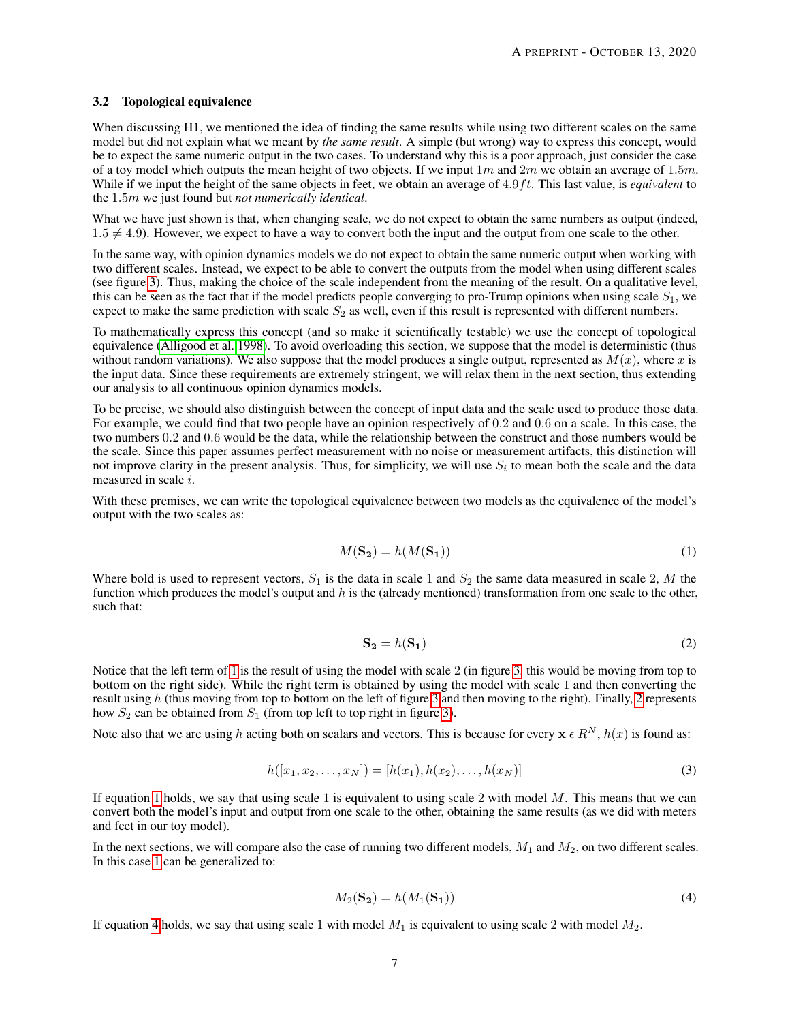#### 3.2 Topological equivalence

When discussing H1, we mentioned the idea of finding the same results while using two different scales on the same model but did not explain what we meant by *the same result*. A simple (but wrong) way to express this concept, would be to expect the same numeric output in the two cases. To understand why this is a poor approach, just consider the case of a toy model which outputs the mean height of two objects. If we input  $1m$  and  $2m$  we obtain an average of 1.5m. While if we input the height of the same objects in feet, we obtain an average of 4.9ft. This last value, is *equivalent* to the 1.5m we just found but *not numerically identical*.

What we have just shown is that, when changing scale, we do not expect to obtain the same numbers as output (indeed,  $1.5 \neq 4.9$ ). However, we expect to have a way to convert both the input and the output from one scale to the other.

In the same way, with opinion dynamics models we do not expect to obtain the same numeric output when working with two different scales. Instead, we expect to be able to convert the outputs from the model when using different scales (see figure [3\)](#page-7-0). Thus, making the choice of the scale independent from the meaning of the result. On a qualitative level, this can be seen as the fact that if the model predicts people converging to pro-Trump opinions when using scale  $S_1$ , we expect to make the same prediction with scale  $S_2$  as well, even if this result is represented with different numbers.

To mathematically express this concept (and so make it scientifically testable) we use the concept of topological equivalence [\(Alligood et al. 1998\)](#page-15-13). To avoid overloading this section, we suppose that the model is deterministic (thus without random variations). We also suppose that the model produces a single output, represented as  $M(x)$ , where x is the input data. Since these requirements are extremely stringent, we will relax them in the next section, thus extending our analysis to all continuous opinion dynamics models.

To be precise, we should also distinguish between the concept of input data and the scale used to produce those data. For example, we could find that two people have an opinion respectively of 0.2 and 0.6 on a scale. In this case, the two numbers 0.2 and 0.6 would be the data, while the relationship between the construct and those numbers would be the scale. Since this paper assumes perfect measurement with no noise or measurement artifacts, this distinction will not improve clarity in the present analysis. Thus, for simplicity, we will use  $S_i$  to mean both the scale and the data measured in scale i.

With these premises, we can write the topological equivalence between two models as the equivalence of the model's output with the two scales as:

<span id="page-6-0"></span>
$$
M(\mathbf{S_2}) = h(M(\mathbf{S_1}))\tag{1}
$$

Where bold is used to represent vectors,  $S_1$  is the data in scale 1 and  $S_2$  the same data measured in scale 2, M the function which produces the model's output and  $h$  is the (already mentioned) transformation from one scale to the other, such that:

<span id="page-6-1"></span>
$$
\mathbf{S_2} = h(\mathbf{S_1})\tag{2}
$$

Notice that the left term of [1](#page-6-0) is the result of using the model with scale 2 (in figure [3,](#page-7-0) this would be moving from top to bottom on the right side). While the right term is obtained by using the model with scale 1 and then converting the result using h (thus moving from top to bottom on the left of figure [3](#page-7-0) and then moving to the right). Finally, [2](#page-6-1) represents how  $S_2$  can be obtained from  $S_1$  (from top left to top right in figure [3\)](#page-7-0).

Note also that we are using h acting both on scalars and vectors. This is because for every  $x \in R^N$ ,  $h(x)$  is found as:

$$
h([x_1, x_2, \dots, x_N]) = [h(x_1), h(x_2), \dots, h(x_N)]
$$
\n(3)

If equation [1](#page-6-0) holds, we say that using scale 1 is equivalent to using scale 2 with model  $M$ . This means that we can convert both the model's input and output from one scale to the other, obtaining the same results (as we did with meters and feet in our toy model).

In the next sections, we will compare also the case of running two different models,  $M_1$  and  $M_2$ , on two different scales. In this case [1](#page-6-0) can be generalized to:

<span id="page-6-2"></span>
$$
M_2(\mathbf{S_2}) = h(M_1(\mathbf{S_1}))\tag{4}
$$

If equation [4](#page-6-2) holds, we say that using scale 1 with model  $M_1$  is equivalent to using scale 2 with model  $M_2$ .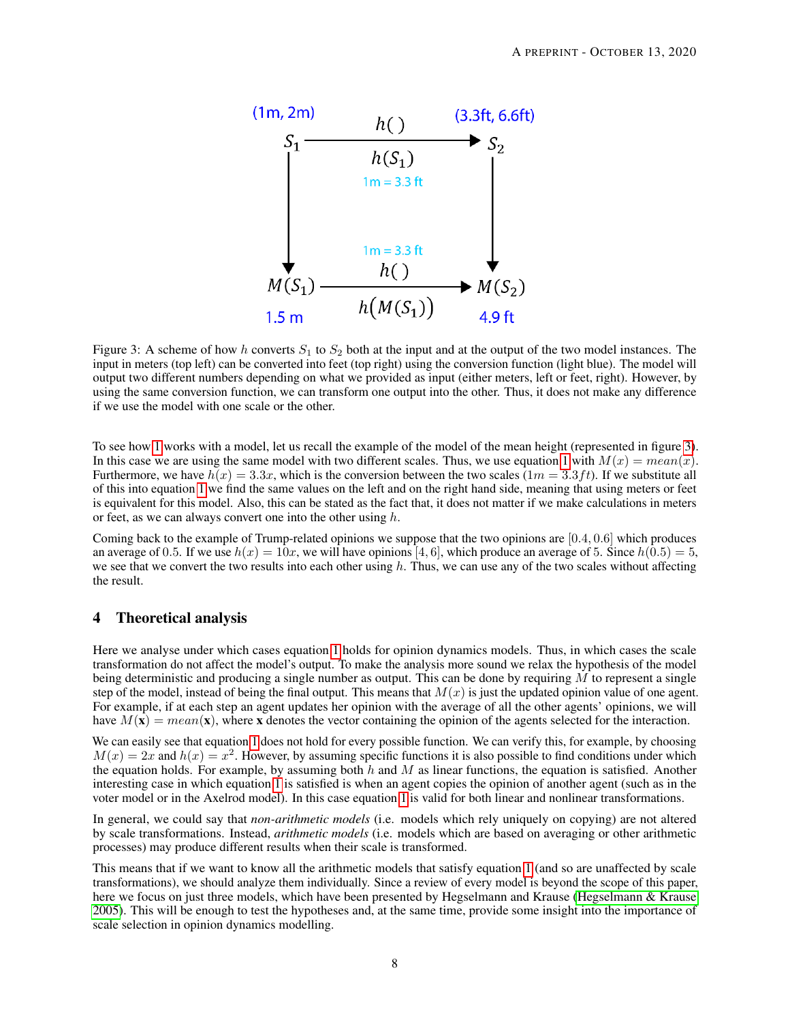

<span id="page-7-0"></span>Figure 3: A scheme of how h converts  $S_1$  to  $S_2$  both at the input and at the output of the two model instances. The input in meters (top left) can be converted into feet (top right) using the conversion function (light blue). The model will output two different numbers depending on what we provided as input (either meters, left or feet, right). However, by using the same conversion function, we can transform one output into the other. Thus, it does not make any difference if we use the model with one scale or the other.

To see how [1](#page-6-0) works with a model, let us recall the example of the model of the mean height (represented in figure [3\)](#page-7-0). In this case we are using the same model with two different scales. Thus, we use equation [1](#page-6-0) with  $M(x) = mean(x)$ . Furthermore, we have  $h(x) = 3.3x$ , which is the conversion between the two scales  $(1m = 3.3ft)$ . If we substitute all of this into equation [1](#page-6-0) we find the same values on the left and on the right hand side, meaning that using meters or feet is equivalent for this model. Also, this can be stated as the fact that, it does not matter if we make calculations in meters or feet, as we can always convert one into the other using  $h$ .

Coming back to the example of Trump-related opinions we suppose that the two opinions are [0.4, 0.6] which produces an average of 0.5. If we use  $h(x) = 10x$ , we will have opinions [4, 6], which produce an average of 5. Since  $h(0.5) = 5$ , we see that we convert the two results into each other using  $h$ . Thus, we can use any of the two scales without affecting the result.

## 4 Theoretical analysis

Here we analyse under which cases equation [1](#page-6-0) holds for opinion dynamics models. Thus, in which cases the scale transformation do not affect the model's output. To make the analysis more sound we relax the hypothesis of the model being deterministic and producing a single number as output. This can be done by requiring  $M$  to represent a single step of the model, instead of being the final output. This means that  $M(x)$  is just the updated opinion value of one agent. For example, if at each step an agent updates her opinion with the average of all the other agents' opinions, we will have  $M(\mathbf{x}) = mean(\mathbf{x})$ , where x denotes the vector containing the opinion of the agents selected for the interaction.

We can easily see that equation [1](#page-6-0) does not hold for every possible function. We can verify this, for example, by choosing  $M(x) = 2x$  and  $h(x) = x^2$ . However, by assuming specific functions it is also possible to find conditions under which the equation holds. For example, by assuming both  $h$  and  $M$  as linear functions, the equation is satisfied. Another interesting case in which equation [1](#page-6-0) is satisfied is when an agent copies the opinion of another agent (such as in the voter model or in the Axelrod model). In this case equation [1](#page-6-0) is valid for both linear and nonlinear transformations.

In general, we could say that *non-arithmetic models* (i.e. models which rely uniquely on copying) are not altered by scale transformations. Instead, *arithmetic models* (i.e. models which are based on averaging or other arithmetic processes) may produce different results when their scale is transformed.

This means that if we want to know all the arithmetic models that satisfy equation [1](#page-6-0) (and so are unaffected by scale transformations), we should analyze them individually. Since a review of every model is beyond the scope of this paper, here we focus on just three models, which have been presented by Hegselmann and Krause [\(Hegselmann & Krause](#page-16-16) [2005\)](#page-16-16). This will be enough to test the hypotheses and, at the same time, provide some insight into the importance of scale selection in opinion dynamics modelling.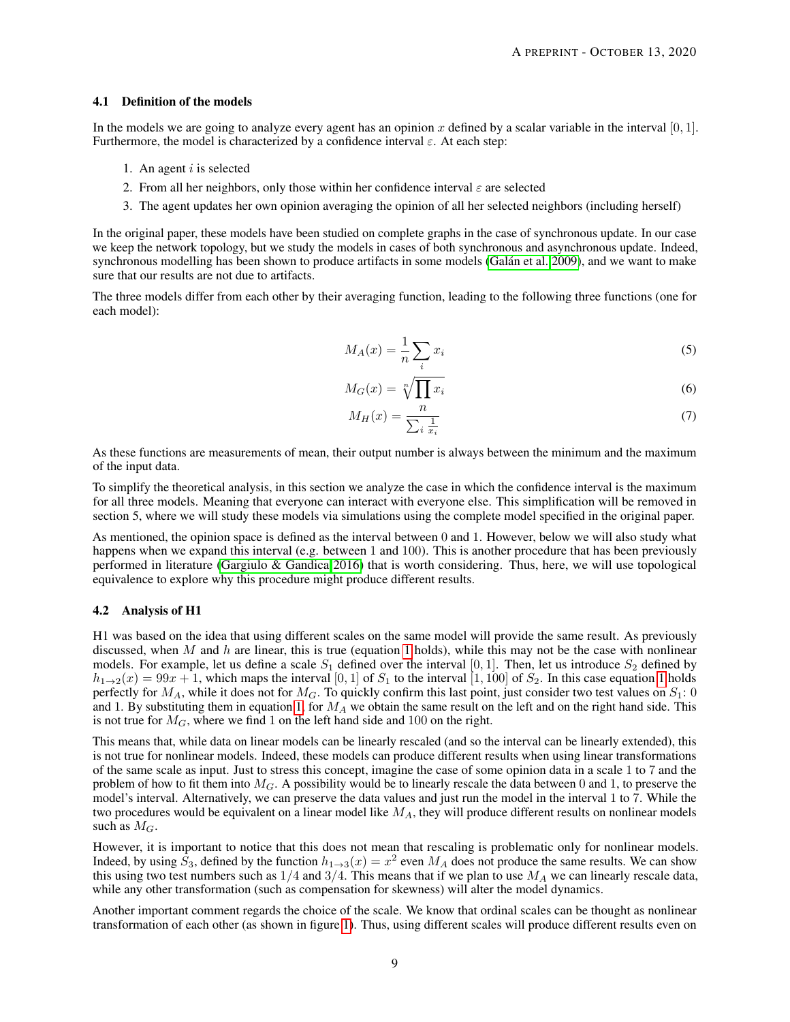#### 4.1 Definition of the models

In the models we are going to analyze every agent has an opinion x defined by a scalar variable in the interval  $[0, 1]$ . Furthermore, the model is characterized by a confidence interval  $\varepsilon$ . At each step:

- 1. An agent  $i$  is selected
- 2. From all her neighbors, only those within her confidence interval  $\varepsilon$  are selected
- 3. The agent updates her own opinion averaging the opinion of all her selected neighbors (including herself)

In the original paper, these models have been studied on complete graphs in the case of synchronous update. In our case we keep the network topology, but we study the models in cases of both synchronous and asynchronous update. Indeed, synchronous modelling has been shown to produce artifacts in some models [\(Galán et al. 2009\)](#page-15-14), and we want to make sure that our results are not due to artifacts.

The three models differ from each other by their averaging function, leading to the following three functions (one for each model):

$$
M_A(x) = \frac{1}{n} \sum_i x_i \tag{5}
$$

$$
M_G(x) = \sqrt[n]{\prod x_i} \tag{6}
$$

$$
M_H(x) = \frac{n}{\sum_i \frac{1}{x_i}}\tag{7}
$$

As these functions are measurements of mean, their output number is always between the minimum and the maximum of the input data.

To simplify the theoretical analysis, in this section we analyze the case in which the confidence interval is the maximum for all three models. Meaning that everyone can interact with everyone else. This simplification will be removed in section 5, where we will study these models via simulations using the complete model specified in the original paper.

As mentioned, the opinion space is defined as the interval between 0 and 1. However, below we will also study what happens when we expand this interval (e.g. between 1 and 100). This is another procedure that has been previously performed in literature [\(Gargiulo & Gandica 2016\)](#page-15-15) that is worth considering. Thus, here, we will use topological equivalence to explore why this procedure might produce different results.

#### 4.2 Analysis of H1

H1 was based on the idea that using different scales on the same model will provide the same result. As previously discussed, when M and h are linear, this is true (equation [1](#page-6-0) holds), while this may not be the case with nonlinear models. For example, let us define a scale  $S_1$  defined over the interval [0, 1]. Then, let us introduce  $S_2$  defined by  $h_{1\to 2}(x) = 99x + 1$  $h_{1\to 2}(x) = 99x + 1$ , which maps the interval [0, 1] of  $S_1$  to the interval [1, 100] of  $S_2$ . In this case equation 1 holds perfectly for  $M_A$ , while it does not for  $M_G$ . To quickly confirm this last point, just consider two test values on  $S_1$ : 0 and 1. By substituting them in equation [1,](#page-6-0) for  $M_A$  we obtain the same result on the left and on the right hand side. This is not true for  $M_G$ , where we find 1 on the left hand side and 100 on the right.

This means that, while data on linear models can be linearly rescaled (and so the interval can be linearly extended), this is not true for nonlinear models. Indeed, these models can produce different results when using linear transformations of the same scale as input. Just to stress this concept, imagine the case of some opinion data in a scale 1 to 7 and the problem of how to fit them into  $M_G$ . A possibility would be to linearly rescale the data between 0 and 1, to preserve the model's interval. Alternatively, we can preserve the data values and just run the model in the interval 1 to 7. While the two procedures would be equivalent on a linear model like  $M_A$ , they will produce different results on nonlinear models such as  $M_G$ .

However, it is important to notice that this does not mean that rescaling is problematic only for nonlinear models. Indeed, by using  $\tilde{S}_3$ , defined by the function  $h_{1\to 3}(x) = x^2$  even  $M_A$  does not produce the same results. We can show this using two test numbers such as  $1/4$  and  $3/4$ . This means that if we plan to use  $M_A$  we can linearly rescale data, while any other transformation (such as compensation for skewness) will alter the model dynamics.

Another important comment regards the choice of the scale. We know that ordinal scales can be thought as nonlinear transformation of each other (as shown in figure [1\)](#page-3-0). Thus, using different scales will produce different results even on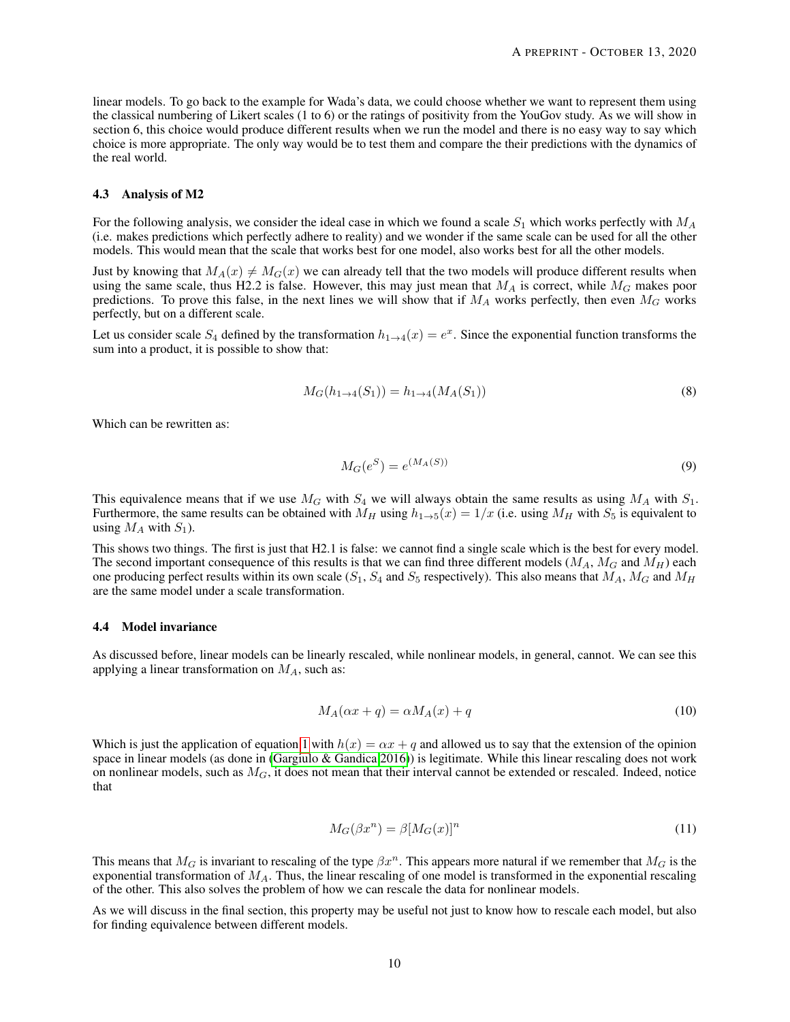linear models. To go back to the example for Wada's data, we could choose whether we want to represent them using the classical numbering of Likert scales (1 to 6) or the ratings of positivity from the YouGov study. As we will show in section 6, this choice would produce different results when we run the model and there is no easy way to say which choice is more appropriate. The only way would be to test them and compare the their predictions with the dynamics of the real world.

#### 4.3 Analysis of M2

For the following analysis, we consider the ideal case in which we found a scale  $S_1$  which works perfectly with  $M_A$ (i.e. makes predictions which perfectly adhere to reality) and we wonder if the same scale can be used for all the other models. This would mean that the scale that works best for one model, also works best for all the other models.

Just by knowing that  $M_A(x) \neq M_G(x)$  we can already tell that the two models will produce different results when using the same scale, thus H2.2 is false. However, this may just mean that  $M_A$  is correct, while  $M_G$  makes poor predictions. To prove this false, in the next lines we will show that if  $M_A$  works perfectly, then even  $M_G$  works perfectly, but on a different scale.

Let us consider scale  $S_4$  defined by the transformation  $h_{1\to 4}(x) = e^x$ . Since the exponential function transforms the sum into a product, it is possible to show that:

$$
M_G(h_{1\to 4}(S_1)) = h_{1\to 4}(M_A(S_1))
$$
\n(8)

Which can be rewritten as:

$$
M_G(e^S) = e^{(M_A(S))} \tag{9}
$$

This equivalence means that if we use  $M_G$  with  $S_4$  we will always obtain the same results as using  $M_A$  with  $S_1$ . Furthermore, the same results can be obtained with  $M_H$  using  $h_{1\to 5}(x) = 1/x$  (i.e. using  $M_H$  with  $S_5$  is equivalent to using  $M_A$  with  $S_1$ ).

This shows two things. The first is just that H2.1 is false: we cannot find a single scale which is the best for every model. The second important consequence of this results is that we can find three different models  $(M_A, M_G$  and  $M_H$ ) each one producing perfect results within its own scale  $(S_1, S_4$  and  $S_5$  respectively). This also means that  $M_A$ ,  $M_G$  and  $M_H$ are the same model under a scale transformation.

#### 4.4 Model invariance

As discussed before, linear models can be linearly rescaled, while nonlinear models, in general, cannot. We can see this applying a linear transformation on  $M_A$ , such as:

$$
M_A(\alpha x + q) = \alpha M_A(x) + q \tag{10}
$$

Which is just the application of equation [1](#page-6-0) with  $h(x) = \alpha x + q$  and allowed us to say that the extension of the opinion space in linear models (as done in [\(Gargiulo & Gandica 2016\)](#page-15-15)) is legitimate. While this linear rescaling does not work on nonlinear models, such as  $M_G$ , it does not mean that their interval cannot be extended or rescaled. Indeed, notice that

$$
M_G(\beta x^n) = \beta [M_G(x)]^n \tag{11}
$$

This means that  $M_G$  is invariant to rescaling of the type  $\beta x^n$ . This appears more natural if we remember that  $M_G$  is the exponential transformation of  $M_A$ . Thus, the linear rescaling of one model is transformed in the exponential rescaling of the other. This also solves the problem of how we can rescale the data for nonlinear models.

As we will discuss in the final section, this property may be useful not just to know how to rescale each model, but also for finding equivalence between different models.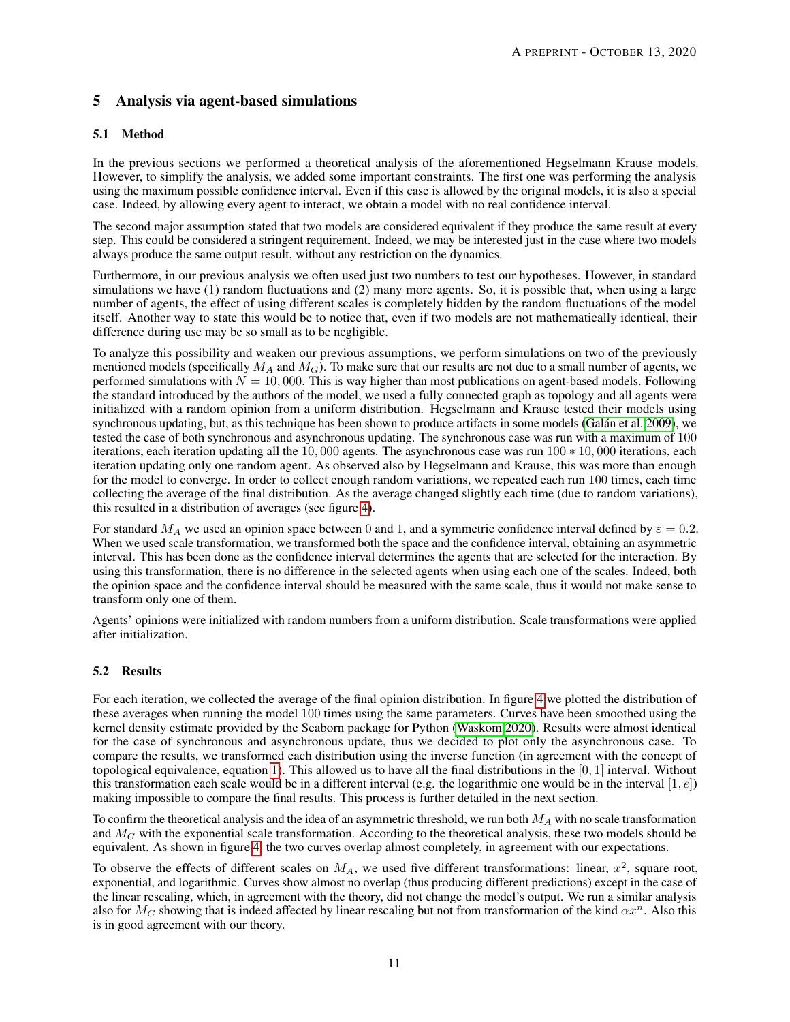## 5 Analysis via agent-based simulations

## 5.1 Method

In the previous sections we performed a theoretical analysis of the aforementioned Hegselmann Krause models. However, to simplify the analysis, we added some important constraints. The first one was performing the analysis using the maximum possible confidence interval. Even if this case is allowed by the original models, it is also a special case. Indeed, by allowing every agent to interact, we obtain a model with no real confidence interval.

The second major assumption stated that two models are considered equivalent if they produce the same result at every step. This could be considered a stringent requirement. Indeed, we may be interested just in the case where two models always produce the same output result, without any restriction on the dynamics.

Furthermore, in our previous analysis we often used just two numbers to test our hypotheses. However, in standard simulations we have (1) random fluctuations and (2) many more agents. So, it is possible that, when using a large number of agents, the effect of using different scales is completely hidden by the random fluctuations of the model itself. Another way to state this would be to notice that, even if two models are not mathematically identical, their difference during use may be so small as to be negligible.

To analyze this possibility and weaken our previous assumptions, we perform simulations on two of the previously mentioned models (specifically  $M_A$  and  $M_G$ ). To make sure that our results are not due to a small number of agents, we performed simulations with  $N = 10,000$ . This is way higher than most publications on agent-based models. Following the standard introduced by the authors of the model, we used a fully connected graph as topology and all agents were initialized with a random opinion from a uniform distribution. Hegselmann and Krause tested their models using synchronous updating, but, as this technique has been shown to produce artifacts in some models [\(Galán et al. 2009\)](#page-15-14), we tested the case of both synchronous and asynchronous updating. The synchronous case was run with a maximum of 100 iterations, each iteration updating all the 10, 000 agents. The asynchronous case was run 100 ∗ 10, 000 iterations, each iteration updating only one random agent. As observed also by Hegselmann and Krause, this was more than enough for the model to converge. In order to collect enough random variations, we repeated each run 100 times, each time collecting the average of the final distribution. As the average changed slightly each time (due to random variations), this resulted in a distribution of averages (see figure [4\)](#page-11-0).

For standard  $M_A$  we used an opinion space between 0 and 1, and a symmetric confidence interval defined by  $\varepsilon = 0.2$ . When we used scale transformation, we transformed both the space and the confidence interval, obtaining an asymmetric interval. This has been done as the confidence interval determines the agents that are selected for the interaction. By using this transformation, there is no difference in the selected agents when using each one of the scales. Indeed, both the opinion space and the confidence interval should be measured with the same scale, thus it would not make sense to transform only one of them.

Agents' opinions were initialized with random numbers from a uniform distribution. Scale transformations were applied after initialization.

## 5.2 Results

For each iteration, we collected the average of the final opinion distribution. In figure [4](#page-11-0) we plotted the distribution of these averages when running the model 100 times using the same parameters. Curves have been smoothed using the kernel density estimate provided by the Seaborn package for Python [\(Waskom 2020\)](#page-16-17). Results were almost identical for the case of synchronous and asynchronous update, thus we decided to plot only the asynchronous case. To compare the results, we transformed each distribution using the inverse function (in agreement with the concept of topological equivalence, equation [1\)](#page-6-0). This allowed us to have all the final distributions in the  $[0, 1]$  interval. Without this transformation each scale would be in a different interval (e.g. the logarithmic one would be in the interval  $[1, e]$ ) making impossible to compare the final results. This process is further detailed in the next section.

To confirm the theoretical analysis and the idea of an asymmetric threshold, we run both  $M_A$  with no scale transformation and  $M_G$  with the exponential scale transformation. According to the theoretical analysis, these two models should be equivalent. As shown in figure [4,](#page-11-0) the two curves overlap almost completely, in agreement with our expectations.

To observe the effects of different scales on  $M_A$ , we used five different transformations: linear,  $x^2$ , square root, exponential, and logarithmic. Curves show almost no overlap (thus producing different predictions) except in the case of the linear rescaling, which, in agreement with the theory, did not change the model's output. We run a similar analysis also for  $M_G$  showing that is indeed affected by linear rescaling but not from transformation of the kind  $\alpha x^n$ . Also this is in good agreement with our theory.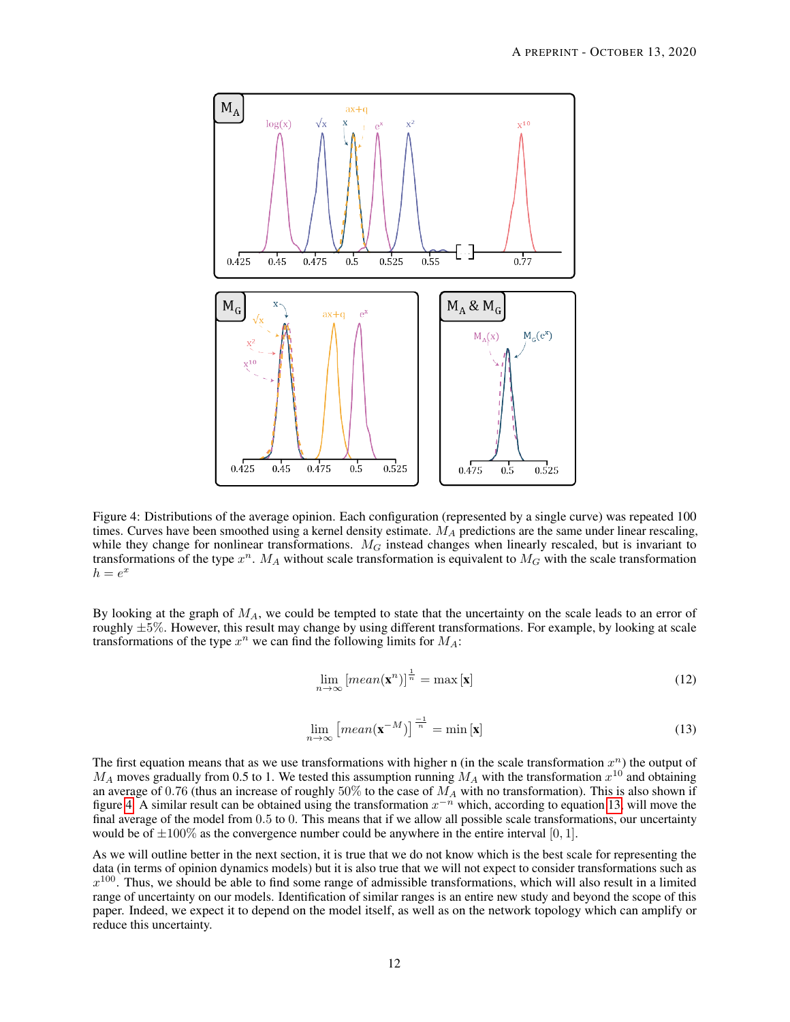

<span id="page-11-0"></span>Figure 4: Distributions of the average opinion. Each configuration (represented by a single curve) was repeated 100 times. Curves have been smoothed using a kernel density estimate.  $M_A$  predictions are the same under linear rescaling, while they change for nonlinear transformations.  $M_G$  instead changes when linearly rescaled, but is invariant to transformations of the type  $x^n$ .  $M_A$  without scale transformation is equivalent to  $M_G$  with the scale transformation  $h = e^x$ 

By looking at the graph of  $M_A$ , we could be tempted to state that the uncertainty on the scale leads to an error of roughly  $\pm 5\%$ . However, this result may change by using different transformations. For example, by looking at scale transformations of the type  $x^n$  we can find the following limits for  $M_A$ :

$$
\lim_{n \to \infty} \left[ \operatorname{mean}(\mathbf{x}^n) \right]^{\frac{1}{n}} = \max \left[ \mathbf{x} \right] \tag{12}
$$

<span id="page-11-1"></span>
$$
\lim_{n \to \infty} \left[ \operatorname{mean}(\mathbf{x}^{-M}) \right]^{\frac{-1}{n}} = \min \left[ \mathbf{x} \right] \tag{13}
$$

The first equation means that as we use transformations with higher n (in the scale transformation  $x^n$ ) the output of  $M_A$  moves gradually from 0.5 to 1. We tested this assumption running  $M_A$  with the transformation  $x^{10}$  and obtaining an average of 0.76 (thus an increase of roughly  $50\%$  to the case of  $M_A$  with no transformation). This is also shown if figure [4.](#page-11-0) A similar result can be obtained using the transformation  $x^{-n}$  which, according to equation [13,](#page-11-1) will move the final average of the model from 0.5 to 0. This means that if we allow all possible scale transformations, our uncertainty would be of  $\pm 100\%$  as the convergence number could be anywhere in the entire interval [0, 1].

As we will outline better in the next section, it is true that we do not know which is the best scale for representing the data (in terms of opinion dynamics models) but it is also true that we will not expect to consider transformations such as  $x^{100}$ . Thus, we should be able to find some range of admissible transformations, which will also result in a limited range of uncertainty on our models. Identification of similar ranges is an entire new study and beyond the scope of this paper. Indeed, we expect it to depend on the model itself, as well as on the network topology which can amplify or reduce this uncertainty.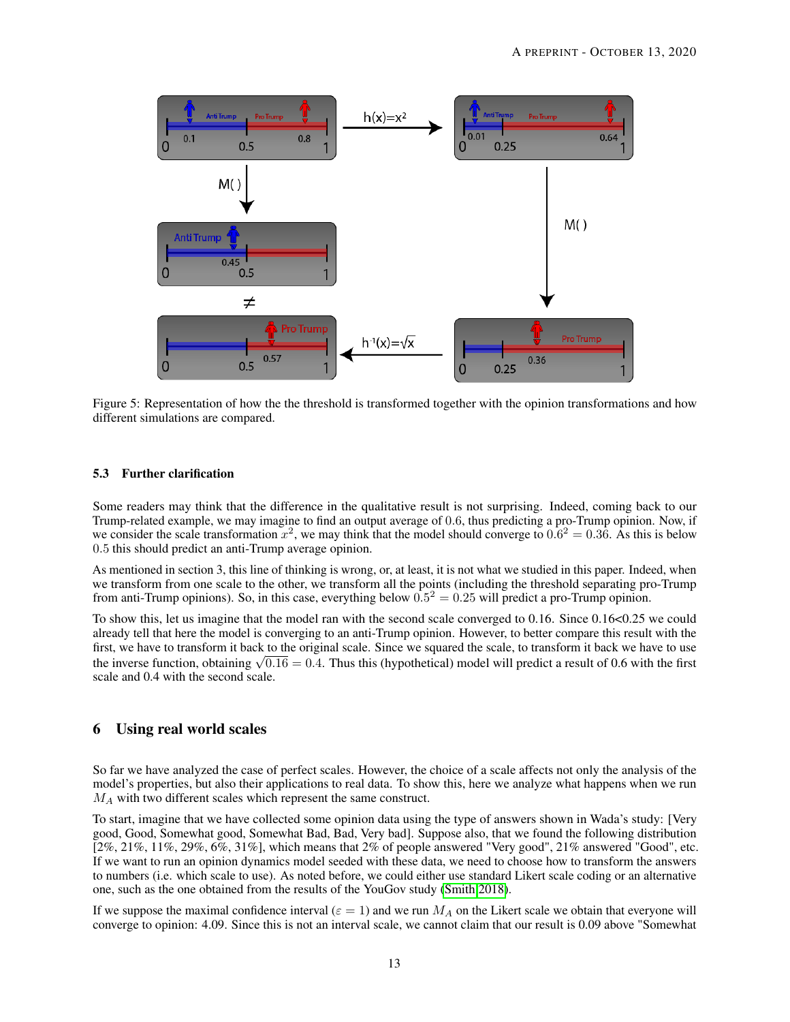

Figure 5: Representation of how the the threshold is transformed together with the opinion transformations and how different simulations are compared.

#### 5.3 Further clarification

Some readers may think that the difference in the qualitative result is not surprising. Indeed, coming back to our Trump-related example, we may imagine to find an output average of 0.6, thus predicting a pro-Trump opinion. Now, if we consider the scale transformation  $x^2$ , we may think that the model should converge to  $0.6^2 = 0.36$ . As this is below 0.5 this should predict an anti-Trump average opinion.

As mentioned in section 3, this line of thinking is wrong, or, at least, it is not what we studied in this paper. Indeed, when we transform from one scale to the other, we transform all the points (including the threshold separating pro-Trump from anti-Trump opinions). So, in this case, everything below  $0.5^2 = 0.25$  will predict a pro-Trump opinion.

To show this, let us imagine that the model ran with the second scale converged to 0.16. Since 0.16<0.25 we could already tell that here the model is converging to an anti-Trump opinion. However, to better compare this result with the first, we have to transform it back to the original scale. Since we squared the scale, to transform it back we have to use the inverse function, obtaining  $\sqrt{0.16} = 0.4$ . Thus this (hypothetical) model will predict a result of 0.6 with the first the inverse function, obtaining  $\sqrt{0.16} = 0.4$ . Thus this (hypothetical) model will predict a re scale and 0.4 with the second scale.

## 6 Using real world scales

So far we have analyzed the case of perfect scales. However, the choice of a scale affects not only the analysis of the model's properties, but also their applications to real data. To show this, here we analyze what happens when we run  $M_A$  with two different scales which represent the same construct.

To start, imagine that we have collected some opinion data using the type of answers shown in Wada's study: [Very good, Good, Somewhat good, Somewhat Bad, Bad, Very bad]. Suppose also, that we found the following distribution  $[2\%, 21\%, 11\%, 29\%, 6\%, 31\%]$ , which means that  $2\%$  of people answered "Very good",  $21\%$  answered "Good", etc. If we want to run an opinion dynamics model seeded with these data, we need to choose how to transform the answers to numbers (i.e. which scale to use). As noted before, we could either use standard Likert scale coding or an alternative one, such as the one obtained from the results of the YouGov study [\(Smith 2018\)](#page-16-5).

If we suppose the maximal confidence interval ( $\varepsilon = 1$ ) and we run  $M_A$  on the Likert scale we obtain that everyone will converge to opinion: 4.09. Since this is not an interval scale, we cannot claim that our result is 0.09 above "Somewhat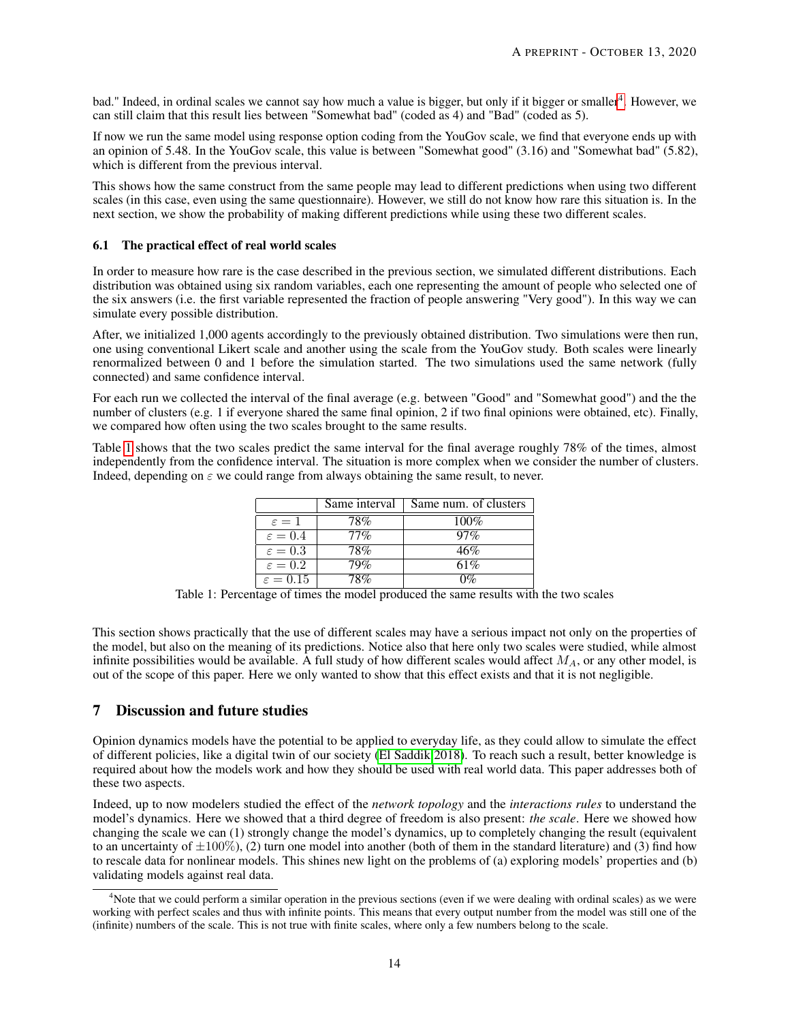bad." Indeed, in ordinal scales we cannot say how much a value is bigger, but only if it bigger or smaller<sup>[4](#page-13-0)</sup>. However, we can still claim that this result lies between "Somewhat bad" (coded as 4) and "Bad" (coded as 5).

If now we run the same model using response option coding from the YouGov scale, we find that everyone ends up with an opinion of 5.48. In the YouGov scale, this value is between "Somewhat good" (3.16) and "Somewhat bad" (5.82), which is different from the previous interval.

This shows how the same construct from the same people may lead to different predictions when using two different scales (in this case, even using the same questionnaire). However, we still do not know how rare this situation is. In the next section, we show the probability of making different predictions while using these two different scales.

## 6.1 The practical effect of real world scales

In order to measure how rare is the case described in the previous section, we simulated different distributions. Each distribution was obtained using six random variables, each one representing the amount of people who selected one of the six answers (i.e. the first variable represented the fraction of people answering "Very good"). In this way we can simulate every possible distribution.

After, we initialized 1,000 agents accordingly to the previously obtained distribution. Two simulations were then run, one using conventional Likert scale and another using the scale from the YouGov study. Both scales were linearly renormalized between 0 and 1 before the simulation started. The two simulations used the same network (fully connected) and same confidence interval.

For each run we collected the interval of the final average (e.g. between "Good" and "Somewhat good") and the the number of clusters (e.g. 1 if everyone shared the same final opinion, 2 if two final opinions were obtained, etc). Finally, we compared how often using the two scales brought to the same results.

Table [1](#page-13-1) shows that the two scales predict the same interval for the final average roughly 78% of the times, almost independently from the confidence interval. The situation is more complex when we consider the number of clusters. Indeed, depending on  $\varepsilon$  we could range from always obtaining the same result, to never.

|                      | Same interval | Same num. of clusters |
|----------------------|---------------|-----------------------|
| $\varepsilon=1$      | 78%           | $100\%$               |
| $\varepsilon = 0.4$  | $77\%$        | $97\%$                |
| $\varepsilon = 0.3$  | 78%           | 46%                   |
| $\varepsilon = 0.2$  | 79%           | 61%                   |
| $\varepsilon = 0.15$ | 18%           | $\overline{v}$        |

<span id="page-13-1"></span>Table 1: Percentage of times the model produced the same results with the two scales

This section shows practically that the use of different scales may have a serious impact not only on the properties of the model, but also on the meaning of its predictions. Notice also that here only two scales were studied, while almost infinite possibilities would be available. A full study of how different scales would affect  $M_A$ , or any other model, is out of the scope of this paper. Here we only wanted to show that this effect exists and that it is not negligible.

## 7 Discussion and future studies

Opinion dynamics models have the potential to be applied to everyday life, as they could allow to simulate the effect of different policies, like a digital twin of our society [\(El Saddik 2018\)](#page-15-16). To reach such a result, better knowledge is required about how the models work and how they should be used with real world data. This paper addresses both of these two aspects.

Indeed, up to now modelers studied the effect of the *network topology* and the *interactions rules* to understand the model's dynamics. Here we showed that a third degree of freedom is also present: *the scale*. Here we showed how changing the scale we can (1) strongly change the model's dynamics, up to completely changing the result (equivalent to an uncertainty of  $\pm 100\%$ ), (2) turn one model into another (both of them in the standard literature) and (3) find how to rescale data for nonlinear models. This shines new light on the problems of (a) exploring models' properties and (b) validating models against real data.

<span id="page-13-0"></span><sup>&</sup>lt;sup>4</sup>Note that we could perform a similar operation in the previous sections (even if we were dealing with ordinal scales) as we were working with perfect scales and thus with infinite points. This means that every output number from the model was still one of the (infinite) numbers of the scale. This is not true with finite scales, where only a few numbers belong to the scale.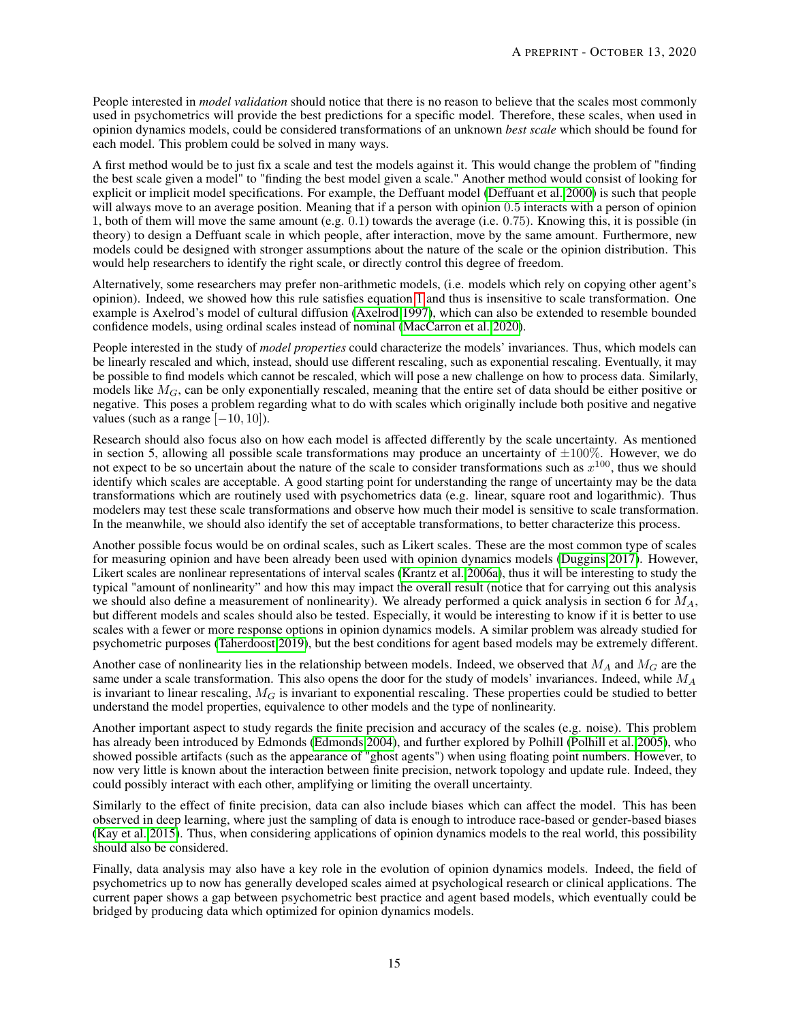People interested in *model validation* should notice that there is no reason to believe that the scales most commonly used in psychometrics will provide the best predictions for a specific model. Therefore, these scales, when used in opinion dynamics models, could be considered transformations of an unknown *best scale* which should be found for each model. This problem could be solved in many ways.

A first method would be to just fix a scale and test the models against it. This would change the problem of "finding the best scale given a model" to "finding the best model given a scale." Another method would consist of looking for explicit or implicit model specifications. For example, the Deffuant model [\(Deffuant et al. 2000\)](#page-15-8) is such that people will always move to an average position. Meaning that if a person with opinion 0.5 interacts with a person of opinion 1, both of them will move the same amount (e.g. 0.1) towards the average (i.e. 0.75). Knowing this, it is possible (in theory) to design a Deffuant scale in which people, after interaction, move by the same amount. Furthermore, new models could be designed with stronger assumptions about the nature of the scale or the opinion distribution. This would help researchers to identify the right scale, or directly control this degree of freedom.

Alternatively, some researchers may prefer non-arithmetic models, (i.e. models which rely on copying other agent's opinion). Indeed, we showed how this rule satisfies equation [1](#page-6-0) and thus is insensitive to scale transformation. One example is Axelrod's model of cultural diffusion [\(Axelrod 1997\)](#page-15-17), which can also be extended to resemble bounded confidence models, using ordinal scales instead of nominal [\(MacCarron et al. 2020\)](#page-16-18).

People interested in the study of *model properties* could characterize the models' invariances. Thus, which models can be linearly rescaled and which, instead, should use different rescaling, such as exponential rescaling. Eventually, it may be possible to find models which cannot be rescaled, which will pose a new challenge on how to process data. Similarly, models like  $M_G$ , can be only exponentially rescaled, meaning that the entire set of data should be either positive or negative. This poses a problem regarding what to do with scales which originally include both positive and negative values (such as a range  $[-10, 10]$ ).

Research should also focus also on how each model is affected differently by the scale uncertainty. As mentioned in section 5, allowing all possible scale transformations may produce an uncertainty of  $\pm 100\%$ . However, we do not expect to be so uncertain about the nature of the scale to consider transformations such as  $x^{100}$ , thus we should identify which scales are acceptable. A good starting point for understanding the range of uncertainty may be the data transformations which are routinely used with psychometrics data (e.g. linear, square root and logarithmic). Thus modelers may test these scale transformations and observe how much their model is sensitive to scale transformation. In the meanwhile, we should also identify the set of acceptable transformations, to better characterize this process.

Another possible focus would be on ordinal scales, such as Likert scales. These are the most common type of scales for measuring opinion and have been already been used with opinion dynamics models [\(Duggins 2017\)](#page-15-4). However, Likert scales are nonlinear representations of interval scales [\(Krantz et al. 2006a\)](#page-16-13), thus it will be interesting to study the typical "amount of nonlinearity" and how this may impact the overall result (notice that for carrying out this analysis we should also define a measurement of nonlinearity). We already performed a quick analysis in section 6 for  $M_A$ , but different models and scales should also be tested. Especially, it would be interesting to know if it is better to use scales with a fewer or more response options in opinion dynamics models. A similar problem was already studied for psychometric purposes [\(Taherdoost 2019\)](#page-16-12), but the best conditions for agent based models may be extremely different.

Another case of nonlinearity lies in the relationship between models. Indeed, we observed that  $M_A$  and  $M_G$  are the same under a scale transformation. This also opens the door for the study of models' invariances. Indeed, while  $M_A$ is invariant to linear rescaling,  $M<sub>G</sub>$  is invariant to exponential rescaling. These properties could be studied to better understand the model properties, equivalence to other models and the type of nonlinearity.

Another important aspect to study regards the finite precision and accuracy of the scales (e.g. noise). This problem has already been introduced by Edmonds [\(Edmonds 2004\)](#page-15-18), and further explored by Polhill [\(Polhill et al. 2005\)](#page-16-19), who showed possible artifacts (such as the appearance of "ghost agents") when using floating point numbers. However, to now very little is known about the interaction between finite precision, network topology and update rule. Indeed, they could possibly interact with each other, amplifying or limiting the overall uncertainty.

Similarly to the effect of finite precision, data can also include biases which can affect the model. This has been observed in deep learning, where just the sampling of data is enough to introduce race-based or gender-based biases [\(Kay et al. 2015\)](#page-16-20). Thus, when considering applications of opinion dynamics models to the real world, this possibility should also be considered.

Finally, data analysis may also have a key role in the evolution of opinion dynamics models. Indeed, the field of psychometrics up to now has generally developed scales aimed at psychological research or clinical applications. The current paper shows a gap between psychometric best practice and agent based models, which eventually could be bridged by producing data which optimized for opinion dynamics models.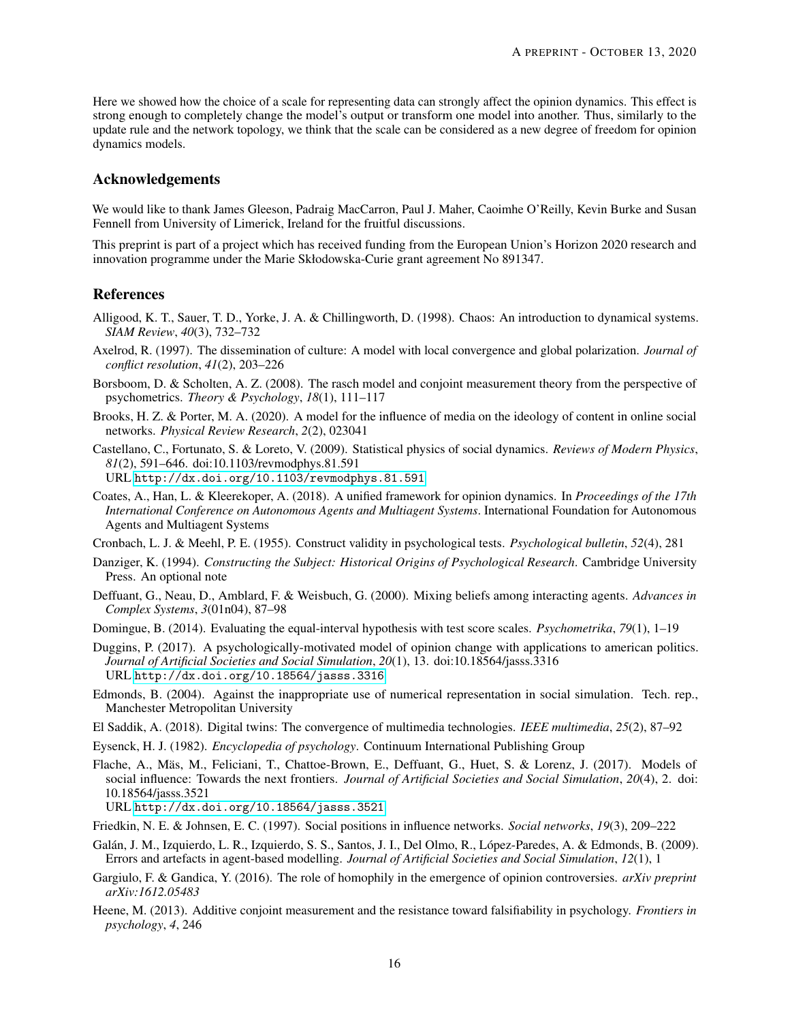Here we showed how the choice of a scale for representing data can strongly affect the opinion dynamics. This effect is strong enough to completely change the model's output or transform one model into another. Thus, similarly to the update rule and the network topology, we think that the scale can be considered as a new degree of freedom for opinion dynamics models.

## Acknowledgements

We would like to thank James Gleeson, Padraig MacCarron, Paul J. Maher, Caoimhe O'Reilly, Kevin Burke and Susan Fennell from University of Limerick, Ireland for the fruitful discussions.

This preprint is part of a project which has received funding from the European Union's Horizon 2020 research and innovation programme under the Marie Skłodowska-Curie grant agreement No 891347.

## **References**

- <span id="page-15-13"></span>Alligood, K. T., Sauer, T. D., Yorke, J. A. & Chillingworth, D. (1998). Chaos: An introduction to dynamical systems. *SIAM Review*, *40*(3), 732–732
- <span id="page-15-17"></span>Axelrod, R. (1997). The dissemination of culture: A model with local convergence and global polarization. *Journal of conflict resolution*, *41*(2), 203–226
- <span id="page-15-5"></span>Borsboom, D. & Scholten, A. Z. (2008). The rasch model and conjoint measurement theory from the perspective of psychometrics. *Theory & Psychology*, *18*(1), 111–117
- <span id="page-15-11"></span>Brooks, H. Z. & Porter, M. A. (2020). A model for the influence of media on the ideology of content in online social networks. *Physical Review Research*, *2*(2), 023041
- <span id="page-15-0"></span>Castellano, C., Fortunato, S. & Loreto, V. (2009). Statistical physics of social dynamics. *Reviews of Modern Physics*, *81*(2), 591–646. doi:10.1103/revmodphys.81.591 URL <http://dx.doi.org/10.1103/revmodphys.81.591>
- 
- <span id="page-15-2"></span>Coates, A., Han, L. & Kleerekoper, A. (2018). A unified framework for opinion dynamics. In *Proceedings of the 17th International Conference on Autonomous Agents and Multiagent Systems*. International Foundation for Autonomous Agents and Multiagent Systems
- <span id="page-15-9"></span>Cronbach, L. J. & Meehl, P. E. (1955). Construct validity in psychological tests. *Psychological bulletin*, *52*(4), 281
- <span id="page-15-3"></span>Danziger, K. (1994). *Constructing the Subject: Historical Origins of Psychological Research*. Cambridge University Press. An optional note
- <span id="page-15-8"></span>Deffuant, G., Neau, D., Amblard, F. & Weisbuch, G. (2000). Mixing beliefs among interacting agents. *Advances in Complex Systems*, *3*(01n04), 87–98
- <span id="page-15-6"></span>Domingue, B. (2014). Evaluating the equal-interval hypothesis with test score scales. *Psychometrika*, *79*(1), 1–19
- <span id="page-15-4"></span>Duggins, P. (2017). A psychologically-motivated model of opinion change with applications to american politics. *Journal of Artificial Societies and Social Simulation*, *20*(1), 13. doi:10.18564/jasss.3316 URL <http://dx.doi.org/10.18564/jasss.3316>
- <span id="page-15-18"></span>Edmonds, B. (2004). Against the inappropriate use of numerical representation in social simulation. Tech. rep., Manchester Metropolitan University
- <span id="page-15-16"></span>El Saddik, A. (2018). Digital twins: The convergence of multimedia technologies. *IEEE multimedia*, *25*(2), 87–92
- <span id="page-15-12"></span>Eysenck, H. J. (1982). *Encyclopedia of psychology*. Continuum International Publishing Group
- <span id="page-15-1"></span>Flache, A., Mäs, M., Feliciani, T., Chattoe-Brown, E., Deffuant, G., Huet, S. & Lorenz, J. (2017). Models of social influence: Towards the next frontiers. *Journal of Artificial Societies and Social Simulation*, *20*(4), 2. doi: 10.18564/jasss.3521

URL <http://dx.doi.org/10.18564/jasss.3521>

- <span id="page-15-10"></span>Friedkin, N. E. & Johnsen, E. C. (1997). Social positions in influence networks. *Social networks*, *19*(3), 209–222
- <span id="page-15-14"></span>Galán, J. M., Izquierdo, L. R., Izquierdo, S. S., Santos, J. I., Del Olmo, R., López-Paredes, A. & Edmonds, B. (2009). Errors and artefacts in agent-based modelling. *Journal of Artificial Societies and Social Simulation*, *12*(1), 1
- <span id="page-15-15"></span>Gargiulo, F. & Gandica, Y. (2016). The role of homophily in the emergence of opinion controversies. *arXiv preprint arXiv:1612.05483*
- <span id="page-15-7"></span>Heene, M. (2013). Additive conjoint measurement and the resistance toward falsifiability in psychology. *Frontiers in psychology*, *4*, 246